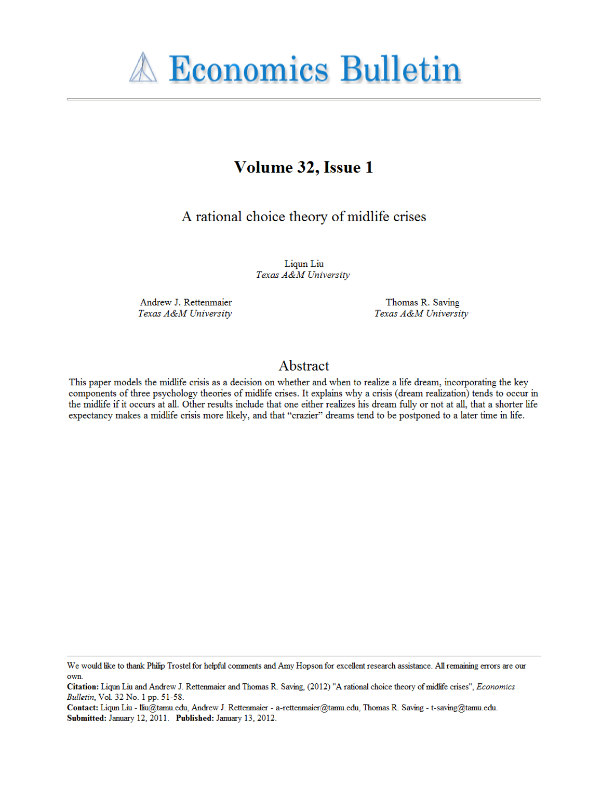

# Volume 32, Issue 1

## A rational choice theory of midlife crises

Liqun Liu Texas A&M University

Andrew J. Rettenmaier Texas A&M University

Thomas R. Saving Texas A&M University

## Abstract

This paper models the midlife crisis as a decision on whether and when to realize a life dream, incorporating the key components of three psychology theories of midlife crises. It explains why a crisis (dream realization) tends to occur in the midlife if it occurs at all. Other results include that one either realizes his dream fully or not at all, that a shorter life expectancy makes a midlife crisis more likely, and that "crazier" dreams tend to be postponed to a later time in life.

We would like to thank Philip Trostel for helpful comments and Amy Hopson for excellent research assistance. All remaining errors are our own.

Citation: Liqun Liu and Andrew J. Rettenmaier and Thomas R. Saving, (2012) "A rational choice theory of midlife crises", Economics Bulletin, Vol. 32 No. 1 pp. 51-58.

Contact: Liqun Liu - lliu@tamu.edu, Andrew J. Rettenmaier - a-rettenmaier@tamu.edu, Thomas R. Saving - t-saving@tamu.edu. Submitted: January 12, 2011. Published: January 13, 2012.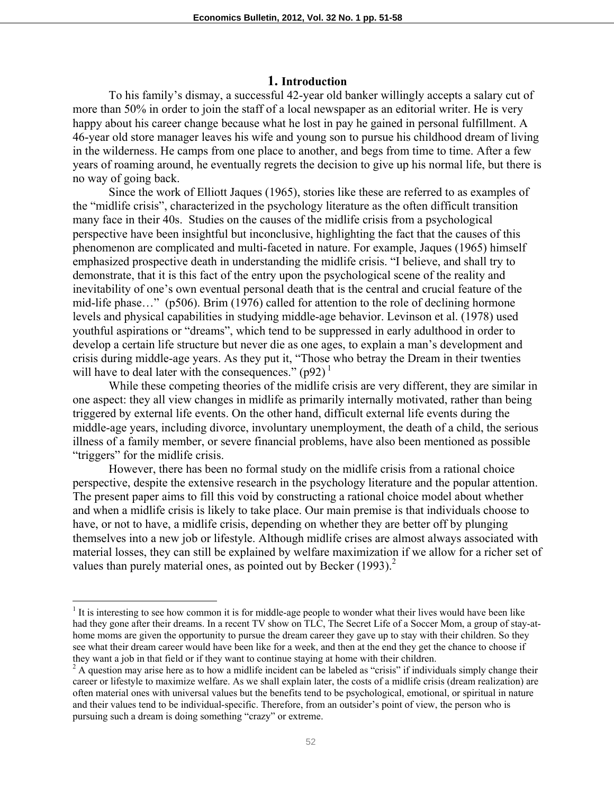## **1. Introduction**

 To his family's dismay, a successful 42-year old banker willingly accepts a salary cut of more than 50% in order to join the staff of a local newspaper as an editorial writer. He is very happy about his career change because what he lost in pay he gained in personal fulfillment. A 46-year old store manager leaves his wife and young son to pursue his childhood dream of living in the wilderness. He camps from one place to another, and begs from time to time. After a few years of roaming around, he eventually regrets the decision to give up his normal life, but there is no way of going back.

 Since the work of Elliott Jaques (1965), stories like these are referred to as examples of the "midlife crisis", characterized in the psychology literature as the often difficult transition many face in their 40s. Studies on the causes of the midlife crisis from a psychological perspective have been insightful but inconclusive, highlighting the fact that the causes of this phenomenon are complicated and multi-faceted in nature. For example, Jaques (1965) himself emphasized prospective death in understanding the midlife crisis. "I believe, and shall try to demonstrate, that it is this fact of the entry upon the psychological scene of the reality and inevitability of one's own eventual personal death that is the central and crucial feature of the mid-life phase…" (p506). Brim (1976) called for attention to the role of declining hormone levels and physical capabilities in studying middle-age behavior. Levinson et al. (1978) used youthful aspirations or "dreams", which tend to be suppressed in early adulthood in order to develop a certain life structure but never die as one ages, to explain a man's development and crisis during middle-age years. As they put it, "Those who betray the Dream in their twenties will have to deal later with the consequences."  $(p92)^1$ 

 While these competing theories of the midlife crisis are very different, they are similar in one aspect: they all view changes in midlife as primarily internally motivated, rather than being triggered by external life events. On the other hand, difficult external life events during the middle-age years, including divorce, involuntary unemployment, the death of a child, the serious illness of a family member, or severe financial problems, have also been mentioned as possible "triggers" for the midlife crisis.

 However, there has been no formal study on the midlife crisis from a rational choice perspective, despite the extensive research in the psychology literature and the popular attention. The present paper aims to fill this void by constructing a rational choice model about whether and when a midlife crisis is likely to take place. Our main premise is that individuals choose to have, or not to have, a midlife crisis, depending on whether they are better off by plunging themselves into a new job or lifestyle. Although midlife crises are almost always associated with material losses, they can still be explained by welfare maximization if we allow for a richer set of values than purely material ones, as pointed out by Becker  $(1993)<sup>2</sup>$ 

 $\overline{\phantom{a}}$ 

 $<sup>1</sup>$  It is interesting to see how common it is for middle-age people to wonder what their lives would have been like</sup> had they gone after their dreams. In a recent TV show on TLC, The Secret Life of a Soccer Mom, a group of stay-athome moms are given the opportunity to pursue the dream career they gave up to stay with their children. So they see what their dream career would have been like for a week, and then at the end they get the chance to choose if they want a job in that field or if they want to continue staying at home with their children. 2

 $A$  question may arise here as to how a midlife incident can be labeled as "crisis" if individuals simply change their career or lifestyle to maximize welfare. As we shall explain later, the costs of a midlife crisis (dream realization) are often material ones with universal values but the benefits tend to be psychological, emotional, or spiritual in nature and their values tend to be individual-specific. Therefore, from an outsider's point of view, the person who is pursuing such a dream is doing something "crazy" or extreme.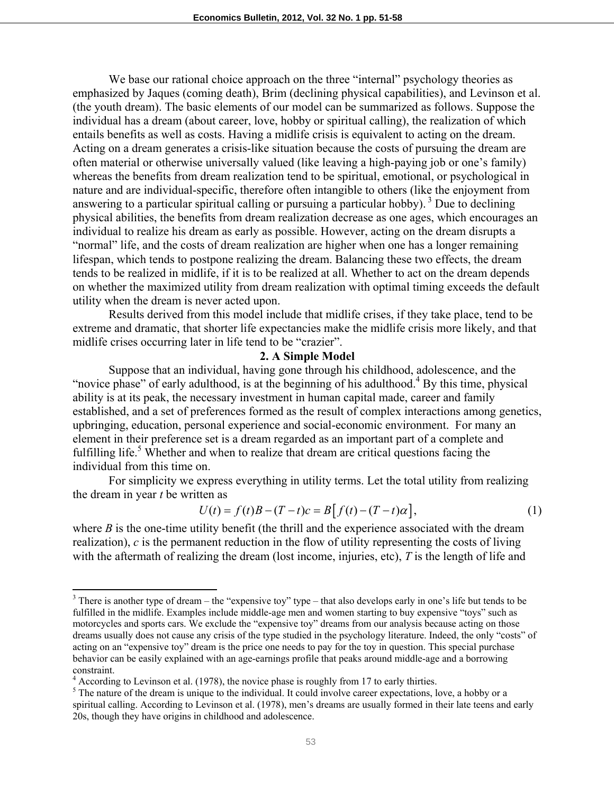We base our rational choice approach on the three "internal" psychology theories as emphasized by Jaques (coming death), Brim (declining physical capabilities), and Levinson et al. (the youth dream). The basic elements of our model can be summarized as follows. Suppose the individual has a dream (about career, love, hobby or spiritual calling), the realization of which entails benefits as well as costs. Having a midlife crisis is equivalent to acting on the dream. Acting on a dream generates a crisis-like situation because the costs of pursuing the dream are often material or otherwise universally valued (like leaving a high-paying job or one's family) whereas the benefits from dream realization tend to be spiritual, emotional, or psychological in nature and are individual-specific, therefore often intangible to others (like the enjoyment from answering to a particular spiritual calling or pursuing a particular hobby).<sup>3</sup> Due to declining physical abilities, the benefits from dream realization decrease as one ages, which encourages an individual to realize his dream as early as possible. However, acting on the dream disrupts a "normal" life, and the costs of dream realization are higher when one has a longer remaining lifespan, which tends to postpone realizing the dream. Balancing these two effects, the dream tends to be realized in midlife, if it is to be realized at all. Whether to act on the dream depends on whether the maximized utility from dream realization with optimal timing exceeds the default utility when the dream is never acted upon.

 Results derived from this model include that midlife crises, if they take place, tend to be extreme and dramatic, that shorter life expectancies make the midlife crisis more likely, and that midlife crises occurring later in life tend to be "crazier".

#### **2. A Simple Model**

 Suppose that an individual, having gone through his childhood, adolescence, and the "novice phase" of early adulthood, is at the beginning of his adulthood.<sup>4</sup> By this time, physical ability is at its peak, the necessary investment in human capital made, career and family established, and a set of preferences formed as the result of complex interactions among genetics, upbringing, education, personal experience and social-economic environment. For many an element in their preference set is a dream regarded as an important part of a complete and fulfilling life.<sup>5</sup> Whether and when to realize that dream are critical questions facing the individual from this time on.

For simplicity we express everything in utility terms. Let the total utility from realizing the dream in year *t* be written as

$$
U(t) = f(t)B - (T - t)c = B[f(t) - (T - t)\alpha],
$$
\n(1)

where  $B$  is the one-time utility benefit (the thrill and the experience associated with the dream realization), *c* is the permanent reduction in the flow of utility representing the costs of living with the aftermath of realizing the dream (lost income, injuries, etc), *T* is the length of life and

 $\overline{a}$ 

 $3$  There is another type of dream – the "expensive toy" type – that also develops early in one's life but tends to be fulfilled in the midlife. Examples include middle-age men and women starting to buy expensive "toys" such as motorcycles and sports cars. We exclude the "expensive toy" dreams from our analysis because acting on those dreams usually does not cause any crisis of the type studied in the psychology literature. Indeed, the only "costs" of acting on an "expensive toy" dream is the price one needs to pay for the toy in question. This special purchase behavior can be easily explained with an age-earnings profile that peaks around middle-age and a borrowing constraint.

 $4$  According to Levinson et al. (1978), the novice phase is roughly from 17 to early thirties.

<sup>&</sup>lt;sup>5</sup> The nature of the dream is unique to the individual. It could involve career expectations, love, a hobby or a spiritual calling. According to Levinson et al. (1978), men's dreams are usually formed in their late teens and early 20s, though they have origins in childhood and adolescence.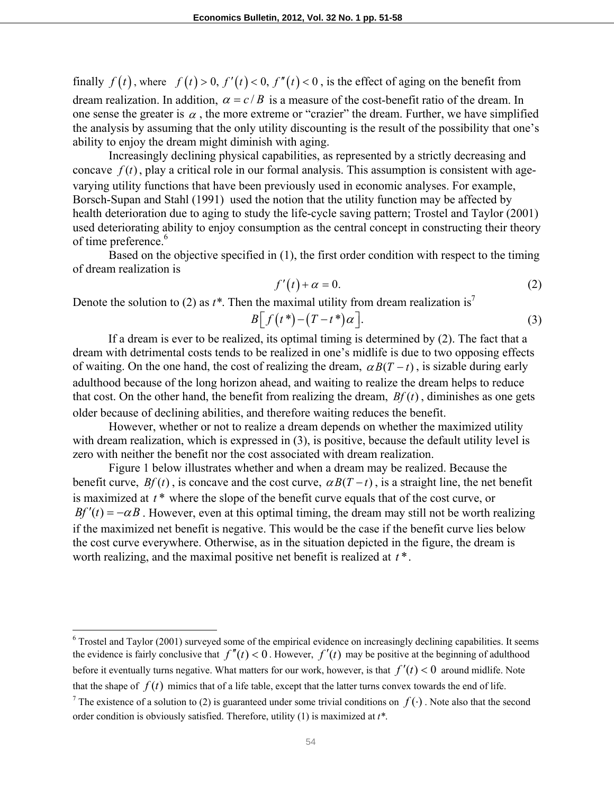finally  $f(t)$ , where  $f(t) > 0$ ,  $f'(t) < 0$ ,  $f''(t) < 0$ , is the effect of aging on the benefit from dream realization. In addition,  $\alpha = c/B$  is a measure of the cost-benefit ratio of the dream. In one sense the greater is  $\alpha$ , the more extreme or "crazier" the dream. Further, we have simplified the analysis by assuming that the only utility discounting is the result of the possibility that one's ability to enjoy the dream might diminish with aging.

 Increasingly declining physical capabilities, as represented by a strictly decreasing and concave  $f(t)$ , play a critical role in our formal analysis. This assumption is consistent with agevarying utility functions that have been previously used in economic analyses. For example, Borsch-Supan and Stahl (1991) used the notion that the utility function may be affected by health deterioration due to aging to study the life-cycle saving pattern; Trostel and Taylor (2001) used deteriorating ability to enjoy consumption as the central concept in constructing their theory of time preference.<sup>6</sup>

Based on the objective specified in (1), the first order condition with respect to the timing of dream realization is

$$
f'(t) + \alpha = 0. \tag{2}
$$

Denote the solution to (2) as  $t^*$ . Then the maximal utility from dream realization is<sup>7</sup>

$$
B[f(t^*)-(T-t^*)\alpha].
$$
\n(3)

 If a dream is ever to be realized, its optimal timing is determined by (2). The fact that a dream with detrimental costs tends to be realized in one's midlife is due to two opposing effects of waiting. On the one hand, the cost of realizing the dream,  $\alpha B(T - t)$ , is sizable during early adulthood because of the long horizon ahead, and waiting to realize the dream helps to reduce that cost. On the other hand, the benefit from realizing the dream,  $Bf(t)$ , diminishes as one gets older because of declining abilities, and therefore waiting reduces the benefit.

However, whether or not to realize a dream depends on whether the maximized utility with dream realization, which is expressed in (3), is positive, because the default utility level is zero with neither the benefit nor the cost associated with dream realization.

 Figure 1 below illustrates whether and when a dream may be realized. Because the benefit curve,  $Bf(t)$ , is concave and the cost curve,  $\alpha B(T-t)$ , is a straight line, the net benefit is maximized at *t* \* where the slope of the benefit curve equals that of the cost curve, or  $Bf'(t) = -\alpha B$ . However, even at this optimal timing, the dream may still not be worth realizing if the maximized net benefit is negative. This would be the case if the benefit curve lies below the cost curve everywhere. Otherwise, as in the situation depicted in the figure, the dream is worth realizing, and the maximal positive net benefit is realized at *t* \*.

<sup>&</sup>lt;sup>6</sup> Trostel and Taylor (2001) surveyed some of the empirical evidence on increasingly declining capabilities. It seems the evidence is fairly conclusive that  $f''(t) < 0$ . However,  $f'(t)$  may be positive at the beginning of adulthood before it eventually turns negative. What matters for our work, however, is that  $f'(t) < 0$  around midlife. Note that the shape of  $f(t)$  mimics that of a life table, except that the latter turns convex towards the end of life.

<sup>&</sup>lt;sup>7</sup> The existence of a solution to (2) is guaranteed under some trivial conditions on  $f(\cdot)$ . Note also that the second order condition is obviously satisfied. Therefore, utility (1) is maximized at *t\**.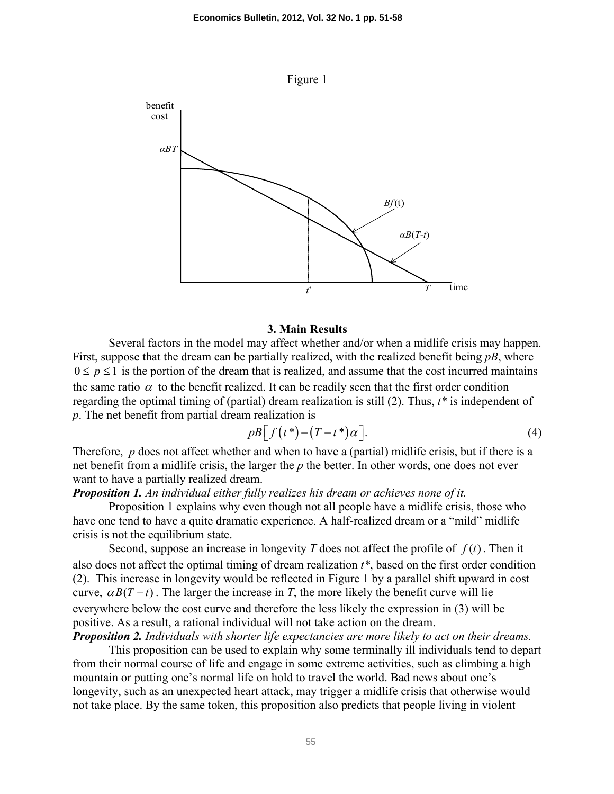

#### **3. Main Results**

 Several factors in the model may affect whether and/or when a midlife crisis may happen. First, suppose that the dream can be partially realized, with the realized benefit being *pB*, where  $0 \le p \le 1$  is the portion of the dream that is realized, and assume that the cost incurred maintains the same ratio  $\alpha$  to the benefit realized. It can be readily seen that the first order condition regarding the optimal timing of (partial) dream realization is still (2). Thus, *t\** is independent of *p*. The net benefit from partial dream realization is

$$
pB\big[f(t^*)-(T-t^*)\alpha\big].\tag{4}
$$

Therefore, *p* does not affect whether and when to have a (partial) midlife crisis, but if there is a net benefit from a midlife crisis, the larger the *p* the better. In other words, one does not ever want to have a partially realized dream.

## *Proposition 1. An individual either fully realizes his dream or achieves none of it.*

 Proposition 1 explains why even though not all people have a midlife crisis, those who have one tend to have a quite dramatic experience. A half-realized dream or a "mild" midlife crisis is not the equilibrium state.

Second, suppose an increase in longevity *T* does not affect the profile of  $f(t)$ . Then it also does not affect the optimal timing of dream realization *t\**, based on the first order condition (2). This increase in longevity would be reflected in Figure 1 by a parallel shift upward in cost curve,  $\alpha B(T - t)$ . The larger the increase in *T*, the more likely the benefit curve will lie everywhere below the cost curve and therefore the less likely the expression in (3) will be positive. As a result, a rational individual will not take action on the dream.

*Proposition 2. Individuals with shorter life expectancies are more likely to act on their dreams.* 

 This proposition can be used to explain why some terminally ill individuals tend to depart from their normal course of life and engage in some extreme activities, such as climbing a high mountain or putting one's normal life on hold to travel the world. Bad news about one's longevity, such as an unexpected heart attack, may trigger a midlife crisis that otherwise would not take place. By the same token, this proposition also predicts that people living in violent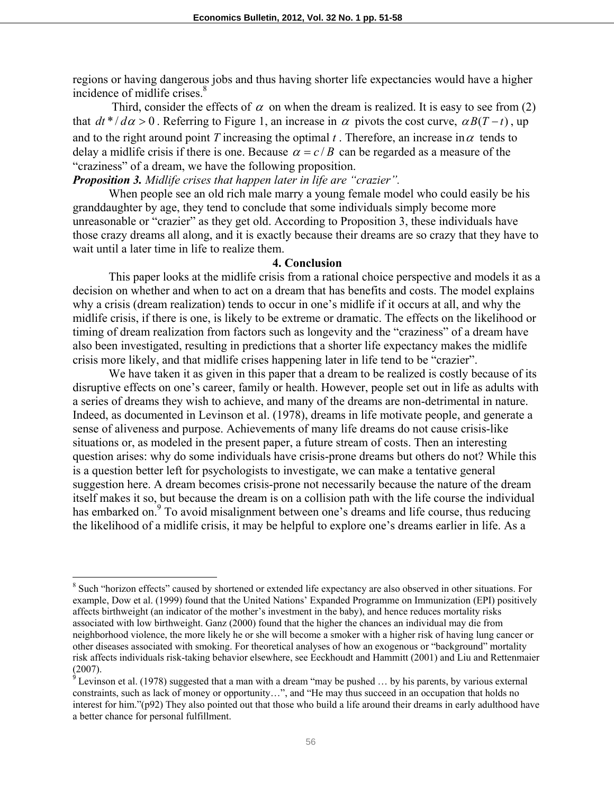regions or having dangerous jobs and thus having shorter life expectancies would have a higher incidence of midlife crises.<sup>8</sup>

Third, consider the effects of  $\alpha$  on when the dream is realized. It is easy to see from (2) that  $dt^* / d\alpha > 0$ . Referring to Figure 1, an increase in  $\alpha$  pivots the cost curve,  $\alpha B(T-t)$ , up and to the right around point *T* increasing the optimal *t*. Therefore, an increase in  $\alpha$  tends to delay a midlife crisis if there is one. Because  $\alpha = c/B$  can be regarded as a measure of the "craziness" of a dream, we have the following proposition.

## *Proposition 3. Midlife crises that happen later in life are "crazier".*

 $\overline{\phantom{a}}$ 

 When people see an old rich male marry a young female model who could easily be his granddaughter by age, they tend to conclude that some individuals simply become more unreasonable or "crazier" as they get old. According to Proposition 3, these individuals have those crazy dreams all along, and it is exactly because their dreams are so crazy that they have to wait until a later time in life to realize them.

#### **4. Conclusion**

This paper looks at the midlife crisis from a rational choice perspective and models it as a decision on whether and when to act on a dream that has benefits and costs. The model explains why a crisis (dream realization) tends to occur in one's midlife if it occurs at all, and why the midlife crisis, if there is one, is likely to be extreme or dramatic. The effects on the likelihood or timing of dream realization from factors such as longevity and the "craziness" of a dream have also been investigated, resulting in predictions that a shorter life expectancy makes the midlife crisis more likely, and that midlife crises happening later in life tend to be "crazier".

We have taken it as given in this paper that a dream to be realized is costly because of its disruptive effects on one's career, family or health. However, people set out in life as adults with a series of dreams they wish to achieve, and many of the dreams are non-detrimental in nature. Indeed, as documented in Levinson et al. (1978), dreams in life motivate people, and generate a sense of aliveness and purpose. Achievements of many life dreams do not cause crisis-like situations or, as modeled in the present paper, a future stream of costs. Then an interesting question arises: why do some individuals have crisis-prone dreams but others do not? While this is a question better left for psychologists to investigate, we can make a tentative general suggestion here. A dream becomes crisis-prone not necessarily because the nature of the dream itself makes it so, but because the dream is on a collision path with the life course the individual has embarked on.<sup>9</sup> To avoid misalignment between one's dreams and life course, thus reducing the likelihood of a midlife crisis, it may be helpful to explore one's dreams earlier in life. As a

<sup>&</sup>lt;sup>8</sup> Such "horizon effects" caused by shortened or extended life expectancy are also observed in other situations. For example, Dow et al. (1999) found that the United Nations' Expanded Programme on Immunization (EPI) positively affects birthweight (an indicator of the mother's investment in the baby), and hence reduces mortality risks associated with low birthweight. Ganz (2000) found that the higher the chances an individual may die from neighborhood violence, the more likely he or she will become a smoker with a higher risk of having lung cancer or other diseases associated with smoking. For theoretical analyses of how an exogenous or "background" mortality risk affects individuals risk-taking behavior elsewhere, see Eeckhoudt and Hammitt (2001) and Liu and Rettenmaier (2007).

 $9$  Levinson et al. (1978) suggested that a man with a dream "may be pushed ... by his parents, by various external constraints, such as lack of money or opportunity…", and "He may thus succeed in an occupation that holds no interest for him."(p92) They also pointed out that those who build a life around their dreams in early adulthood have a better chance for personal fulfillment.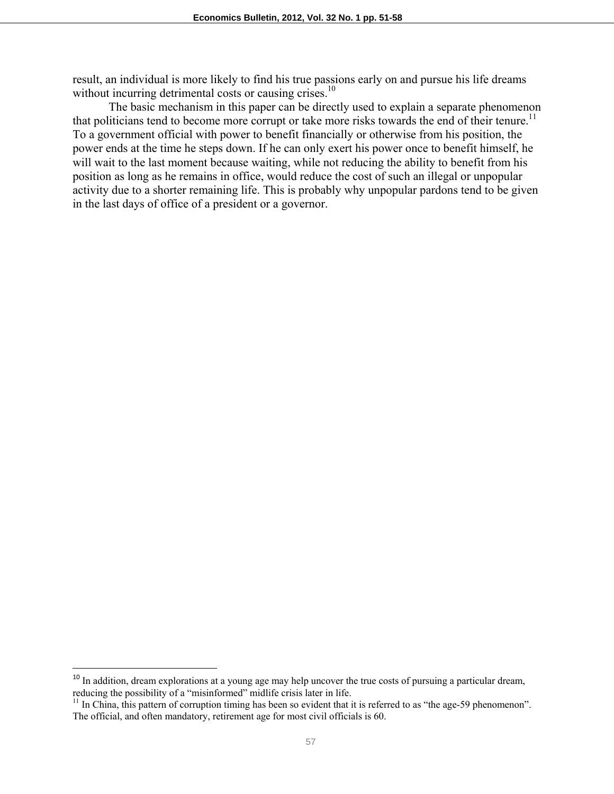result, an individual is more likely to find his true passions early on and pursue his life dreams without incurring detrimental costs or causing crises.<sup>10</sup>

The basic mechanism in this paper can be directly used to explain a separate phenomenon that politicians tend to become more corrupt or take more risks towards the end of their tenure.<sup>11</sup> To a government official with power to benefit financially or otherwise from his position, the power ends at the time he steps down. If he can only exert his power once to benefit himself, he will wait to the last moment because waiting, while not reducing the ability to benefit from his position as long as he remains in office, would reduce the cost of such an illegal or unpopular activity due to a shorter remaining life. This is probably why unpopular pardons tend to be given in the last days of office of a president or a governor.

 $\overline{\phantom{a}}$ 

 $10$  In addition, dream explorations at a young age may help uncover the true costs of pursuing a particular dream, reducing the possibility of a "misinformed" midlife crisis later in life.

<sup>&</sup>lt;sup>11</sup> In China, this pattern of corruption timing has been so evident that it is referred to as "the age-59 phenomenon". The official, and often mandatory, retirement age for most civil officials is 60.